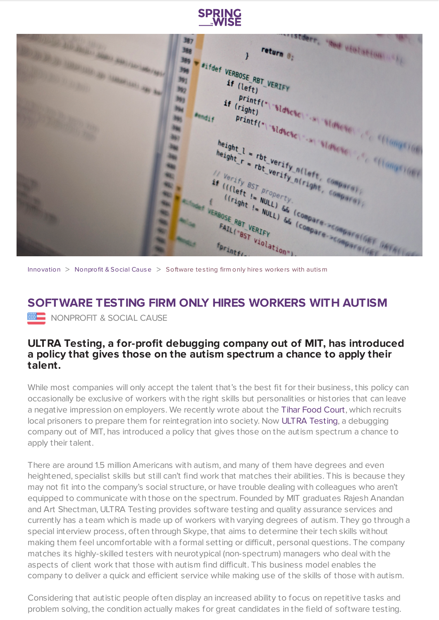

o;<br>expertised violation .... 3期7 return 0: 388  $\mathbf{r}$ 389 Fifdef VERBOSE RBT VERIFY 356 **DE LONGO (SECOND PRESS)** 391  $if$  (left) (left) - FERIFY<br>
Printf("\"Sldscsc\" ... Sldscsc\" ... (limit)<br>
Printf("\"Sldscsc\" ... Sldscsc\" ... (limit) (mys.) (m) 驹  $\frac{if}{(right)}$ 胸 **Blue** right) sldscscl ... sldscscl ... sldscscl ... sldscscl ... sldscscl ... sldscscl ... sldscscl ... sldscscl ... sldscscl ... sldscscl ... sldscscl ... sldscscl ... ... ... (1999) (1999) (1999) (1999) (1999) (1999) (1999) (1 **Bendit** 胸 396 height 1 = rbt verify n(left, compara) 980 meight 1 = rbt verify n(left, compara) ing. 241 No if Verify BST property If (fleft is property n(right, compara), 鞠 No FAIL("BST VERT VIOL **No. No. NB** 

[Innovation](https://www.springwise.com/search?type=innovation)  $>$  [Nonprofit](https://www.springwise.com/search?type=innovation§or=nonprofit-social-cause) & Social Cause  $>$  Software testing firm only hires workers with autism

## **SOFTWARE TESTING FIRM ONLY HIRES WORKERS WITH AUTISM WE NONPROFIT & SOCIAL CAUSE**

## **ULTRA Testing, a for-profit debugging company out of MIT, has introduced a policy that gives those on the autism spectrum a chance to apply their talent.**

While most companies will only accept the talent that's the best fit for their business, this policy can occasionally be exclusive of workers with the right skills but personalities or histories that can leave a negative impression on employers. We recently wrote about the Tihar Food [Court](https://www.springwise.com/india-restaurant-staffed-convicted-criminals/), which recruits local prisoners to prepare them for reintegration into society. Now ULTRA [Testing](http://www.ultratesting.us/), a debugging company out of MIT, has introduced a policy that gives those on the autism spectrum a chance to apply their talent.

There are around 1.5 million Americans with autism, and many of them have degrees and even heightened, specialist skills but still can't find work that matches their abilities. This is because they may not fit into the company's social structure, or have trouble dealing with colleagues who aren't equipped to communicate with those on the spectrum. Founded by MIT graduates Rajesh Anandan and Art Shectman, ULTRA Testing provides software testing and quality assurance services and currently has a team which is made up of workers with varying degrees of autism. They go through a special interview process, often through Skype, that aims to determine their tech skills without making them feel uncomfortable with a formal setting or difficult, personal questions. The company matches its highly-skilled testers with neurotypical (non-spectrum) managers who deal with the aspects of client work that those with autism find difficult. This business model enables the company to deliver a quick and efficient service while making use of the skills of those with autism.

Considering that autistic people often display an increased ability to focus on repetitive tasks and problem solving, the condition actually makes for great candidates in the field of software testing.